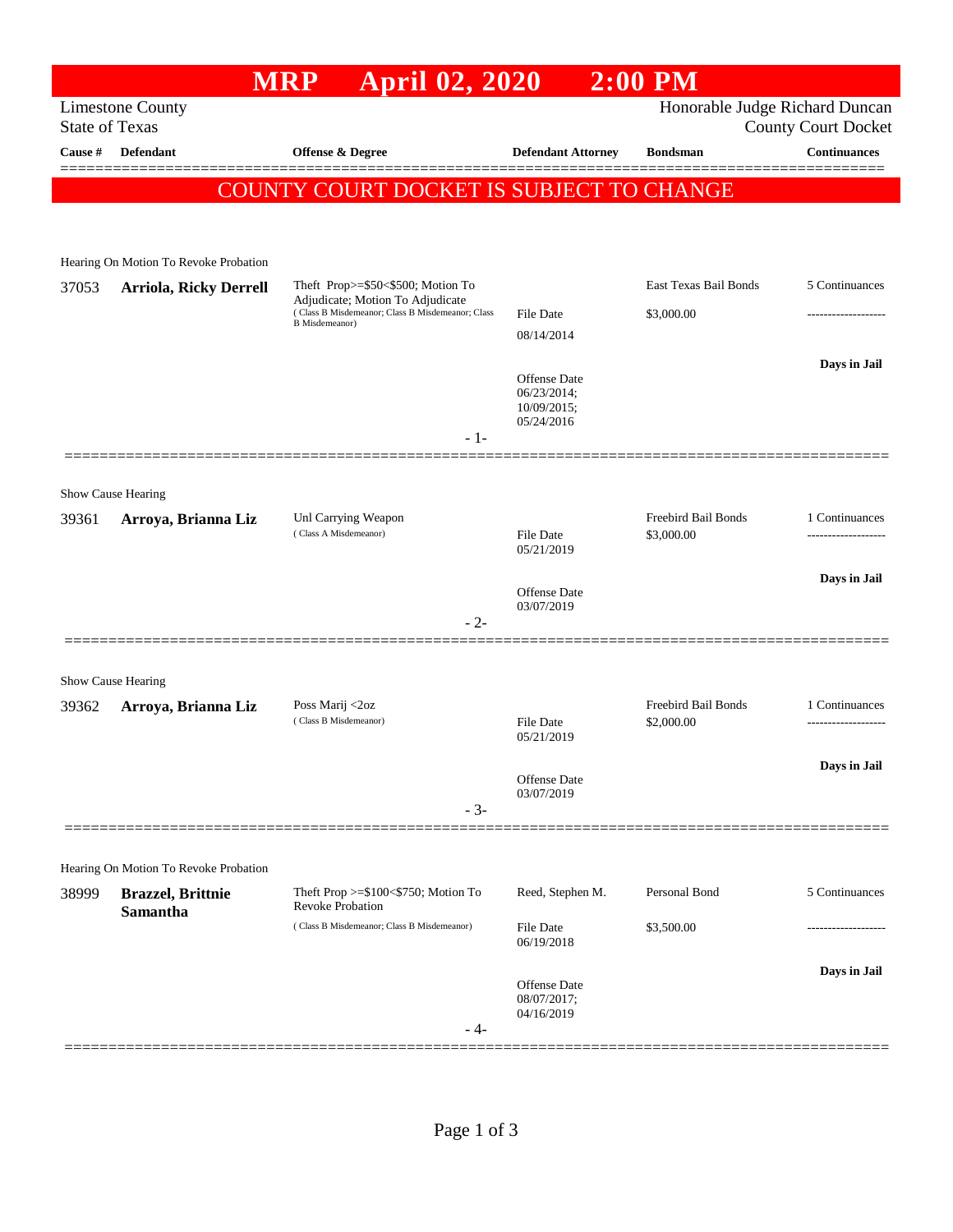## **MRP April 02, 2020 2:00 PM** Limestone County **Example 2018** 2019 12:30 Honorable Judge Richard Duncan State of Texas County Court Docket **Cause # Defendant Offense & Degree Defendant Attorney Bondsman Continuances** ============================================================================================== COUNTY COURT DOCKET IS SUBJECT TO CHANGE

Hearing On Motion To Revoke Probation

| 37053 | <b>Arriola, Ricky Derrell</b>                                                         | Theft Prop>=\$50<\$500; Motion To<br>Adjudicate; Motion To Adjudicate<br>(Class B Misdemeanor; Class B Misdemeanor; Class<br><b>B</b> Misdemeanor)<br>$-1-$ | File Date<br>08/14/2014<br>Offense Date<br>06/23/2014;<br>10/09/2015;<br>05/24/2016 | East Texas Bail Bonds<br>\$3,000.00 | 5 Continuances<br>Days in Jail |
|-------|---------------------------------------------------------------------------------------|-------------------------------------------------------------------------------------------------------------------------------------------------------------|-------------------------------------------------------------------------------------|-------------------------------------|--------------------------------|
|       | Show Cause Hearing                                                                    |                                                                                                                                                             |                                                                                     |                                     |                                |
| 39361 | Arroya, Brianna Liz                                                                   | Unl Carrying Weapon<br>(Class A Misdemeanor)                                                                                                                | File Date<br>05/21/2019                                                             | Freebird Bail Bonds<br>\$3,000.00   | 1 Continuances                 |
|       |                                                                                       | $-2-$                                                                                                                                                       | Offense Date<br>03/07/2019                                                          |                                     | Days in Jail                   |
|       | Show Cause Hearing                                                                    |                                                                                                                                                             |                                                                                     |                                     |                                |
| 39362 | Arroya, Brianna Liz                                                                   | Poss Marij <2oz<br>(Class B Misdemeanor)                                                                                                                    | File Date<br>05/21/2019                                                             | Freebird Bail Bonds<br>\$2,000.00   | 1 Continuances                 |
|       |                                                                                       | $-3-$                                                                                                                                                       | Offense Date<br>03/07/2019                                                          |                                     | Days in Jail                   |
|       |                                                                                       |                                                                                                                                                             |                                                                                     |                                     |                                |
| 38999 | Hearing On Motion To Revoke Probation<br><b>Brazzel</b> , Brittnie<br><b>Samantha</b> | Theft Prop >=\$100<\$750; Motion To<br><b>Revoke Probation</b>                                                                                              | Reed, Stephen M.                                                                    | Personal Bond                       | 5 Continuances                 |
|       |                                                                                       | (Class B Misdemeanor; Class B Misdemeanor)                                                                                                                  | <b>File Date</b><br>06/19/2018                                                      | \$3,500.00                          |                                |
|       |                                                                                       | - 4-                                                                                                                                                        | Offense Date<br>08/07/2017;<br>04/16/2019                                           |                                     | Days in Jail                   |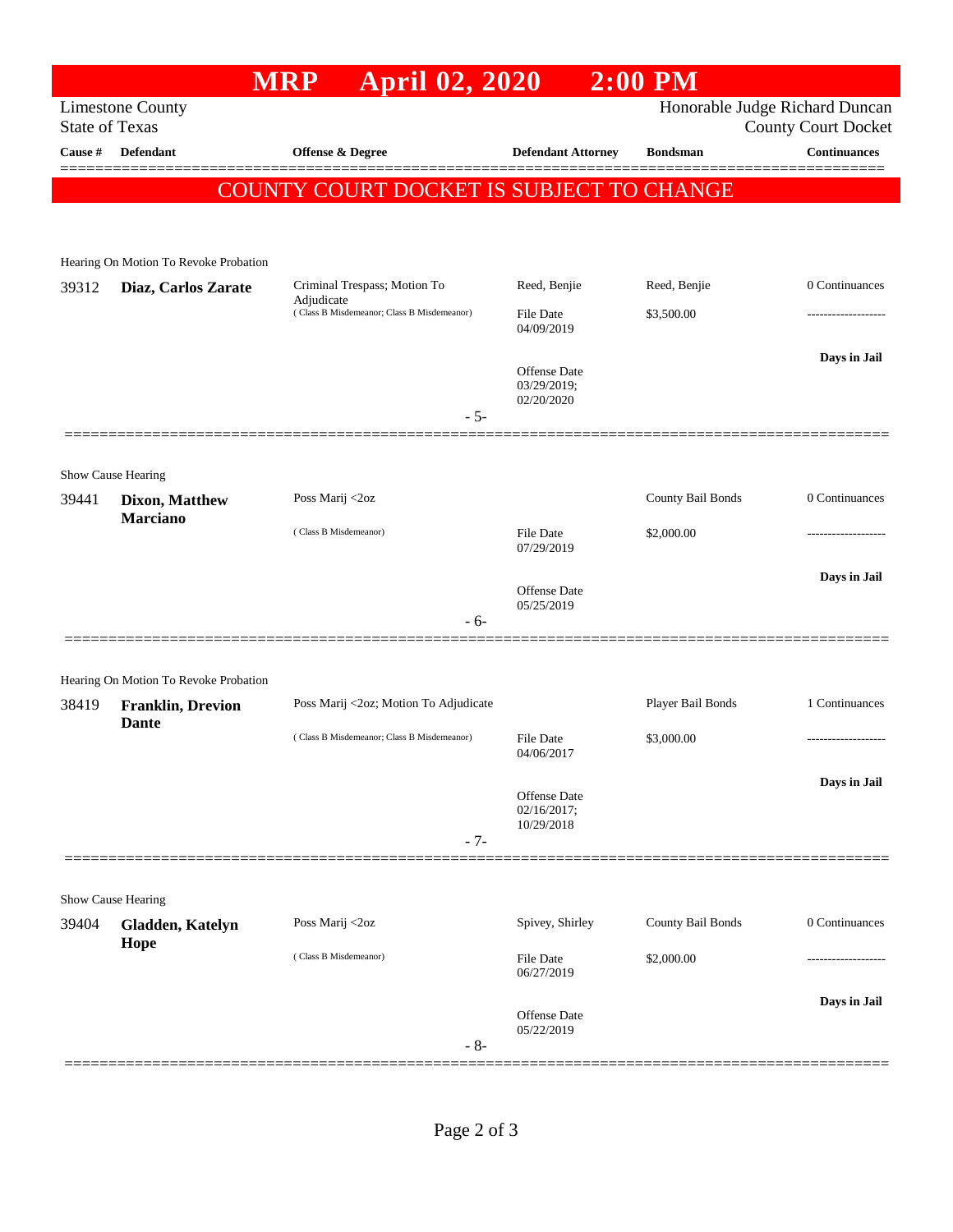|         |                                                                                                                  | <b>MRP</b>                                               | <b>April 02, 2020</b>                            | $2:00$ PM                                    |                     |  |  |
|---------|------------------------------------------------------------------------------------------------------------------|----------------------------------------------------------|--------------------------------------------------|----------------------------------------------|---------------------|--|--|
|         | Honorable Judge Richard Duncan<br><b>Limestone County</b><br><b>County Court Docket</b><br><b>State of Texas</b> |                                                          |                                                  |                                              |                     |  |  |
| Cause # | <b>Defendant</b>                                                                                                 | <b>Offense &amp; Degree</b>                              |                                                  | <b>Defendant Attorney</b><br><b>Bondsman</b> | <b>Continuances</b> |  |  |
|         |                                                                                                                  | COUNTY COURT DOCKET IS SUBJECT TO CHANGE                 |                                                  |                                              |                     |  |  |
|         |                                                                                                                  |                                                          |                                                  |                                              |                     |  |  |
|         |                                                                                                                  |                                                          |                                                  |                                              |                     |  |  |
| 39312   | Hearing On Motion To Revoke Probation<br>Diaz, Carlos Zarate                                                     | Criminal Trespass; Motion To                             | Reed, Benjie                                     | Reed, Benjie                                 | 0 Continuances      |  |  |
|         |                                                                                                                  | Adjudicate<br>(Class B Misdemeanor; Class B Misdemeanor) | File Date                                        | \$3,500.00                                   |                     |  |  |
|         |                                                                                                                  |                                                          | 04/09/2019                                       |                                              | Days in Jail        |  |  |
|         |                                                                                                                  |                                                          | <b>Offense Date</b><br>03/29/2019;<br>02/20/2020 |                                              |                     |  |  |
|         |                                                                                                                  |                                                          | $-5-$                                            |                                              |                     |  |  |
|         |                                                                                                                  |                                                          |                                                  |                                              |                     |  |  |
|         | Show Cause Hearing                                                                                               |                                                          |                                                  |                                              |                     |  |  |
| 39441   | <b>Dixon, Matthew</b><br><b>Marciano</b>                                                                         | Poss Marij <2oz                                          |                                                  | County Bail Bonds                            | 0 Continuances      |  |  |
|         |                                                                                                                  | (Class B Misdemeanor)                                    | File Date<br>07/29/2019                          | \$2,000.00                                   | .                   |  |  |
|         |                                                                                                                  |                                                          | <b>Offense</b> Date                              |                                              | Days in Jail        |  |  |
|         |                                                                                                                  |                                                          | 05/25/2019<br>- 6-                               |                                              |                     |  |  |
|         |                                                                                                                  |                                                          |                                                  |                                              |                     |  |  |
|         | Hearing On Motion To Revoke Probation                                                                            |                                                          |                                                  |                                              |                     |  |  |
| 38419   | <b>Franklin, Drevion</b><br><b>Dante</b>                                                                         | Poss Marij <2oz; Motion To Adjudicate                    |                                                  | Player Bail Bonds                            | 1 Continuances      |  |  |
|         |                                                                                                                  | (Class B Misdemeanor; Class B Misdemeanor)               | <b>File Date</b><br>04/06/2017                   | \$3,000.00                                   | ------------------- |  |  |
|         |                                                                                                                  |                                                          |                                                  |                                              | Days in Jail        |  |  |
|         |                                                                                                                  |                                                          | Offense Date<br>02/16/2017;                      |                                              |                     |  |  |
|         |                                                                                                                  |                                                          | 10/29/2018<br>$-7-$                              |                                              |                     |  |  |
|         |                                                                                                                  |                                                          |                                                  |                                              |                     |  |  |
|         | Show Cause Hearing                                                                                               |                                                          |                                                  |                                              |                     |  |  |
| 39404   | Gladden, Katelyn<br>Hope                                                                                         | Poss Marij <2oz                                          | Spivey, Shirley                                  | County Bail Bonds                            | 0 Continuances      |  |  |
|         |                                                                                                                  | (Class B Misdemeanor)                                    | File Date<br>06/27/2019                          | \$2,000.00                                   |                     |  |  |
|         |                                                                                                                  |                                                          |                                                  |                                              | Days in Jail        |  |  |
|         |                                                                                                                  |                                                          | <b>Offense Date</b><br>05/22/2019                |                                              |                     |  |  |
|         |                                                                                                                  |                                                          | $-8-$                                            |                                              |                     |  |  |